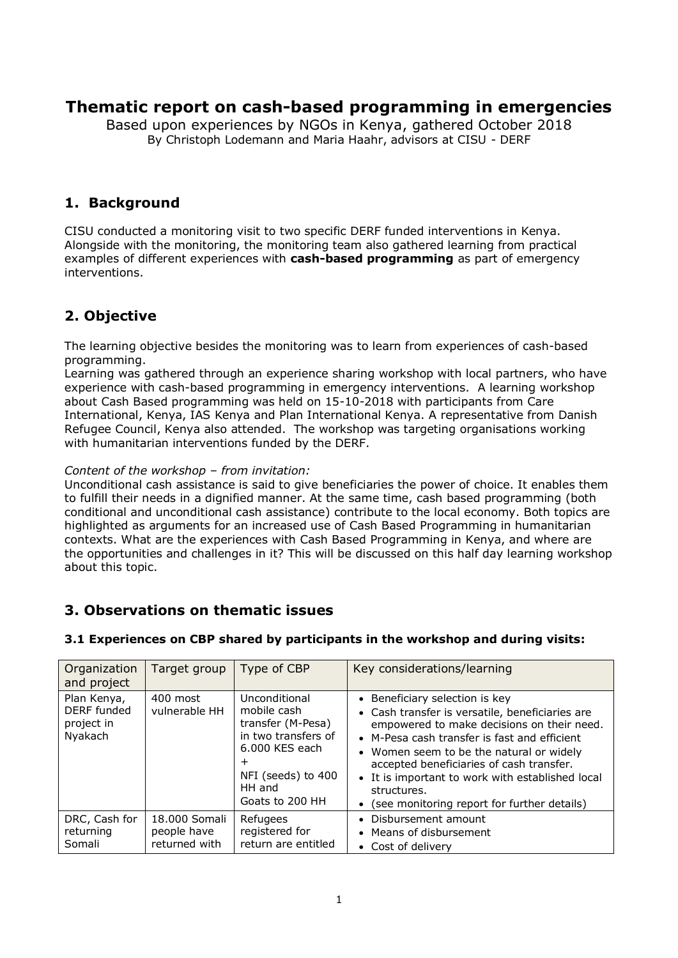# **Thematic report on cash-based programming in emergencies**

Based upon experiences by NGOs in Kenya, gathered October 2018 By Christoph Lodemann and Maria Haahr, advisors at CISU - DERF

### **1. Background**

CISU conducted a monitoring visit to two specific DERF funded interventions in Kenya. Alongside with the monitoring, the monitoring team also gathered learning from practical examples of different experiences with **cash-based programming** as part of emergency interventions.

## **2. Objective**

The learning objective besides the monitoring was to learn from experiences of cash-based programming.

Learning was gathered through an experience sharing workshop with local partners, who have experience with cash-based programming in emergency interventions. A learning workshop about Cash Based programming was held on 15-10-2018 with participants from Care International, Kenya, IAS Kenya and Plan International Kenya. A representative from Danish Refugee Council, Kenya also attended. The workshop was targeting organisations working with humanitarian interventions funded by the DERF.

### *Content of the workshop – from invitation:*

Unconditional cash assistance is said to give beneficiaries the power of choice. It enables them to fulfill their needs in a dignified manner. At the same time, cash based programming (both conditional and unconditional cash assistance) contribute to the local economy. Both topics are highlighted as arguments for an increased use of Cash Based Programming in humanitarian contexts. What are the experiences with Cash Based Programming in Kenya, and where are the opportunities and challenges in it? This will be discussed on this half day learning workshop about this topic.

## **3. Observations on thematic issues**

| Organization<br>and project                         | Target group                                  | Type of CBP                                                                                                                                            | Key considerations/learning                                                                                                                                                                                                                                                                                                                                                                 |
|-----------------------------------------------------|-----------------------------------------------|--------------------------------------------------------------------------------------------------------------------------------------------------------|---------------------------------------------------------------------------------------------------------------------------------------------------------------------------------------------------------------------------------------------------------------------------------------------------------------------------------------------------------------------------------------------|
| Plan Kenya,<br>DERF funded<br>project in<br>Nyakach | 400 most<br>vulnerable HH                     | Unconditional<br>mobile cash<br>transfer (M-Pesa)<br>in two transfers of<br>6.000 KES each<br>$\pm$<br>NFI (seeds) to 400<br>HH and<br>Goats to 200 HH | • Beneficiary selection is key<br>• Cash transfer is versatile, beneficiaries are<br>empowered to make decisions on their need.<br>• M-Pesa cash transfer is fast and efficient<br>• Women seem to be the natural or widely<br>accepted beneficiaries of cash transfer.<br>• It is important to work with established local<br>structures.<br>• (see monitoring report for further details) |
| DRC, Cash for<br>returning<br>Somali                | 18,000 Somali<br>people have<br>returned with | Refugees<br>registered for<br>return are entitled                                                                                                      | • Disbursement amount<br>• Means of disbursement<br>• Cost of delivery                                                                                                                                                                                                                                                                                                                      |

### **3.1 Experiences on CBP shared by participants in the workshop and during visits:**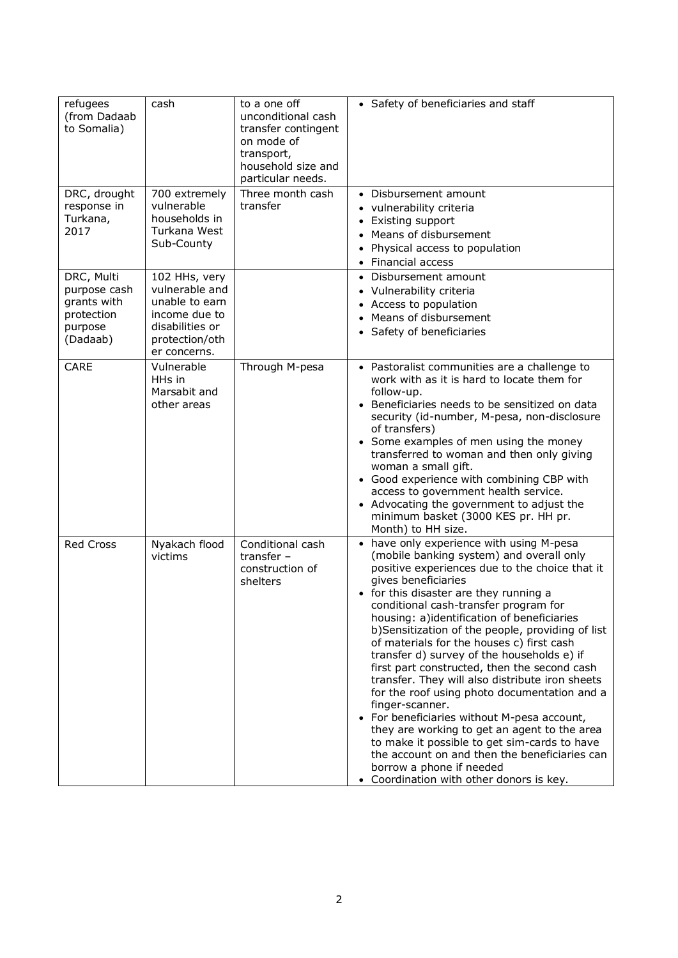| refugees<br>(from Dadaab<br>to Somalia)                                        | cash                                                                                                                    | to a one off<br>unconditional cash<br>transfer contingent<br>on mode of<br>transport,<br>household size and<br>particular needs. | • Safety of beneficiaries and staff                                                                                                                                                                                                                                                                                                                                                                                                                                                                                                                                                                                                                                                                                                                                                                                                                                                          |
|--------------------------------------------------------------------------------|-------------------------------------------------------------------------------------------------------------------------|----------------------------------------------------------------------------------------------------------------------------------|----------------------------------------------------------------------------------------------------------------------------------------------------------------------------------------------------------------------------------------------------------------------------------------------------------------------------------------------------------------------------------------------------------------------------------------------------------------------------------------------------------------------------------------------------------------------------------------------------------------------------------------------------------------------------------------------------------------------------------------------------------------------------------------------------------------------------------------------------------------------------------------------|
| DRC, drought<br>response in<br>Turkana,<br>2017                                | 700 extremely<br>vulnerable<br>households in<br>Turkana West<br>Sub-County                                              | Three month cash<br>transfer                                                                                                     | • Disbursement amount<br>• vulnerability criteria<br>• Existing support<br>• Means of disbursement<br>Physical access to population<br>• Financial access                                                                                                                                                                                                                                                                                                                                                                                                                                                                                                                                                                                                                                                                                                                                    |
| DRC, Multi<br>purpose cash<br>grants with<br>protection<br>purpose<br>(Dadaab) | 102 HHs, very<br>vulnerable and<br>unable to earn<br>income due to<br>disabilities or<br>protection/oth<br>er concerns. |                                                                                                                                  | Disbursement amount<br>• Vulnerability criteria<br>• Access to population<br>Means of disbursement<br>• Safety of beneficiaries                                                                                                                                                                                                                                                                                                                                                                                                                                                                                                                                                                                                                                                                                                                                                              |
| <b>CARE</b>                                                                    | Vulnerable<br>HHs in<br>Marsabit and<br>other areas                                                                     | Through M-pesa                                                                                                                   | • Pastoralist communities are a challenge to<br>work with as it is hard to locate them for<br>follow-up.<br>Beneficiaries needs to be sensitized on data<br>security (id-number, M-pesa, non-disclosure<br>of transfers)<br>• Some examples of men using the money<br>transferred to woman and then only giving<br>woman a small gift.<br>• Good experience with combining CBP with<br>access to government health service.<br>• Advocating the government to adjust the<br>minimum basket (3000 KES pr. HH pr.<br>Month) to HH size.                                                                                                                                                                                                                                                                                                                                                        |
| <b>Red Cross</b>                                                               | Nyakach flood<br>victims                                                                                                | Conditional cash<br>transfer $-$<br>construction of<br>shelters                                                                  | • have only experience with using M-pesa<br>(mobile banking system) and overall only<br>positive experiences due to the choice that it<br>gives beneficiaries<br>• for this disaster are they running a<br>conditional cash-transfer program for<br>housing: a)identification of beneficiaries<br>b) Sensitization of the people, providing of list<br>of materials for the houses c) first cash<br>transfer d) survey of the households e) if<br>first part constructed, then the second cash<br>transfer. They will also distribute iron sheets<br>for the roof using photo documentation and a<br>finger-scanner.<br>• For beneficiaries without M-pesa account,<br>they are working to get an agent to the area<br>to make it possible to get sim-cards to have<br>the account on and then the beneficiaries can<br>borrow a phone if needed<br>• Coordination with other donors is key. |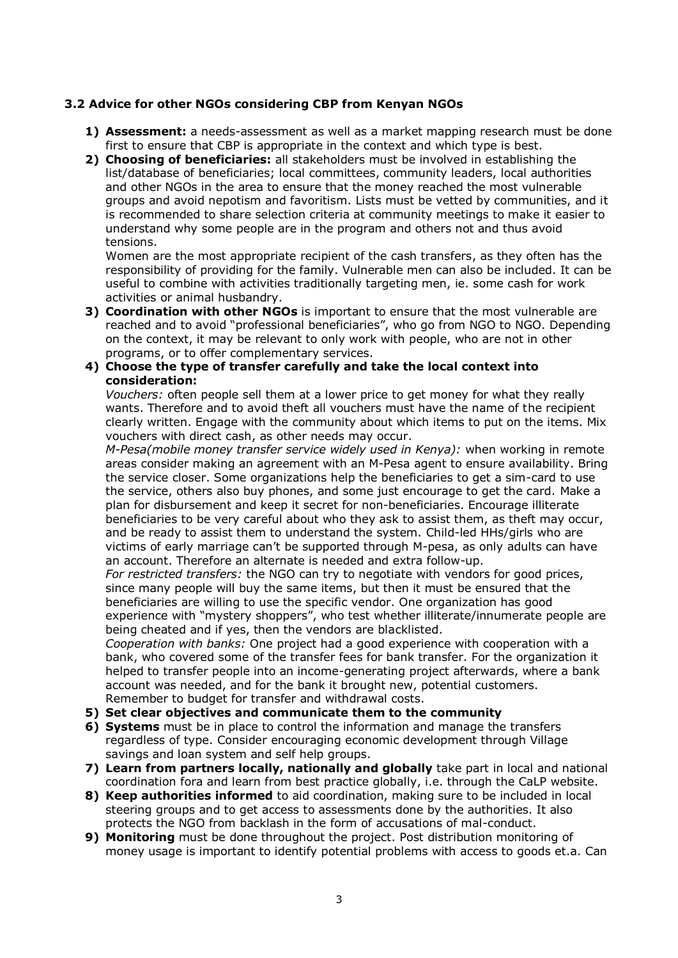#### **3.2 Advice for other NGOs considering CBP from Kenyan NGOs**

- **1) Assessment:** a needs-assessment as well as a market mapping research must be done first to ensure that CBP is appropriate in the context and which type is best.
- **2) Choosing of beneficiaries:** all stakeholders must be involved in establishing the list/database of beneficiaries; local committees, community leaders, local authorities and other NGOs in the area to ensure that the money reached the most vulnerable groups and avoid nepotism and favoritism. Lists must be vetted by communities, and it is recommended to share selection criteria at community meetings to make it easier to understand why some people are in the program and others not and thus avoid tensions.

Women are the most appropriate recipient of the cash transfers, as they often has the responsibility of providing for the family. Vulnerable men can also be included. It can be useful to combine with activities traditionally targeting men, ie. some cash for work activities or animal husbandry.

- **3) Coordination with other NGOs** is important to ensure that the most vulnerable are reached and to avoid "professional beneficiaries", who go from NGO to NGO. Depending on the context, it may be relevant to only work with people, who are not in other programs, or to offer complementary services.
- **4) Choose the type of transfer carefully and take the local context into consideration:**

*Vouchers:* often people sell them at a lower price to get money for what they really wants. Therefore and to avoid theft all vouchers must have the name of the recipient clearly written. Engage with the community about which items to put on the items. Mix vouchers with direct cash, as other needs may occur.

*M-Pesa(mobile money transfer service widely used in Kenya):* when working in remote areas consider making an agreement with an M-Pesa agent to ensure availability. Bring the service closer. Some organizations help the beneficiaries to get a sim-card to use the service, others also buy phones, and some just encourage to get the card. Make a plan for disbursement and keep it secret for non-beneficiaries. Encourage illiterate beneficiaries to be very careful about who they ask to assist them, as theft may occur, and be ready to assist them to understand the system. Child-led HHs/girls who are victims of early marriage can't be supported through M-pesa, as only adults can have an account. Therefore an alternate is needed and extra follow-up.

*For restricted transfers:* the NGO can try to negotiate with vendors for good prices, since many people will buy the same items, but then it must be ensured that the beneficiaries are willing to use the specific vendor. One organization has good experience with "mystery shoppers", who test whether illiterate/innumerate people are being cheated and if yes, then the vendors are blacklisted.

*Cooperation with banks:* One project had a good experience with cooperation with a bank, who covered some of the transfer fees for bank transfer. For the organization it helped to transfer people into an income-generating project afterwards, where a bank account was needed, and for the bank it brought new, potential customers. Remember to budget for transfer and withdrawal costs.

- **5) Set clear objectives and communicate them to the community**
- **6) Systems** must be in place to control the information and manage the transfers regardless of type. Consider encouraging economic development through Village savings and loan system and self help groups.
- **7) Learn from partners locally, nationally and globally** take part in local and national coordination fora and learn from best practice globally, i.e. through the CaLP website.
- **8) Keep authorities informed** to aid coordination, making sure to be included in local steering groups and to get access to assessments done by the authorities. It also protects the NGO from backlash in the form of accusations of mal-conduct.
- **9) Monitoring** must be done throughout the project. Post distribution monitoring of money usage is important to identify potential problems with access to goods et.a. Can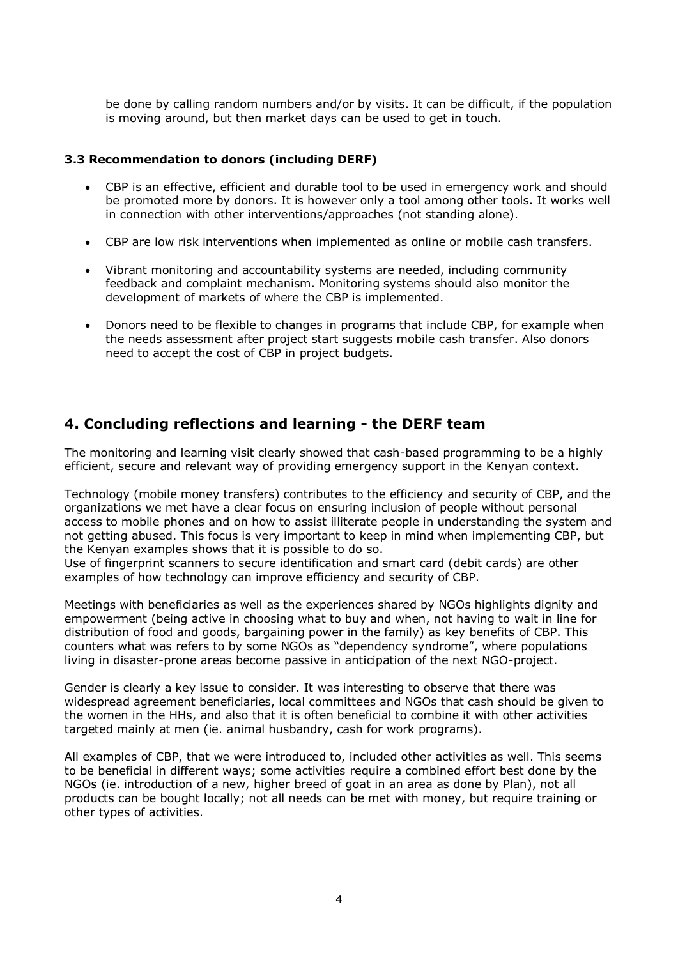be done by calling random numbers and/or by visits. It can be difficult, if the population is moving around, but then market days can be used to get in touch.

#### **3.3 Recommendation to donors (including DERF)**

- CBP is an effective, efficient and durable tool to be used in emergency work and should be promoted more by donors. It is however only a tool among other tools. It works well in connection with other interventions/approaches (not standing alone).
- CBP are low risk interventions when implemented as online or mobile cash transfers.
- Vibrant monitoring and accountability systems are needed, including community feedback and complaint mechanism. Monitoring systems should also monitor the development of markets of where the CBP is implemented.
- Donors need to be flexible to changes in programs that include CBP, for example when the needs assessment after project start suggests mobile cash transfer. Also donors need to accept the cost of CBP in project budgets.

### **4. Concluding reflections and learning - the DERF team**

The monitoring and learning visit clearly showed that cash-based programming to be a highly efficient, secure and relevant way of providing emergency support in the Kenyan context.

Technology (mobile money transfers) contributes to the efficiency and security of CBP, and the organizations we met have a clear focus on ensuring inclusion of people without personal access to mobile phones and on how to assist illiterate people in understanding the system and not getting abused. This focus is very important to keep in mind when implementing CBP, but the Kenyan examples shows that it is possible to do so.

Use of fingerprint scanners to secure identification and smart card (debit cards) are other examples of how technology can improve efficiency and security of CBP.

Meetings with beneficiaries as well as the experiences shared by NGOs highlights dignity and empowerment (being active in choosing what to buy and when, not having to wait in line for distribution of food and goods, bargaining power in the family) as key benefits of CBP. This counters what was refers to by some NGOs as "dependency syndrome", where populations living in disaster-prone areas become passive in anticipation of the next NGO-project.

Gender is clearly a key issue to consider. It was interesting to observe that there was widespread agreement beneficiaries, local committees and NGOs that cash should be given to the women in the HHs, and also that it is often beneficial to combine it with other activities targeted mainly at men (ie. animal husbandry, cash for work programs).

All examples of CBP, that we were introduced to, included other activities as well. This seems to be beneficial in different ways; some activities require a combined effort best done by the NGOs (ie. introduction of a new, higher breed of goat in an area as done by Plan), not all products can be bought locally; not all needs can be met with money, but require training or other types of activities.